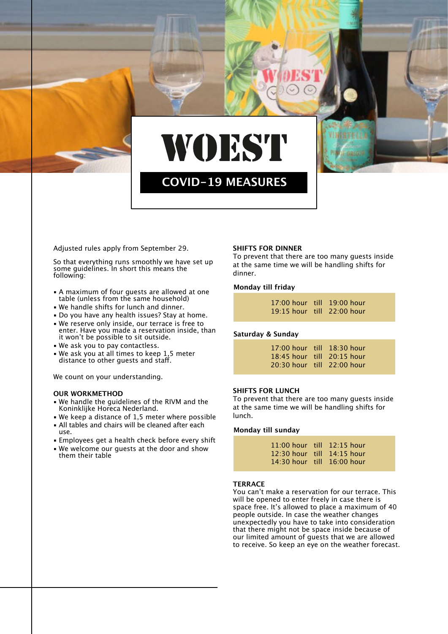

# **COVID-19 MEASURES**

Adjusted rules apply from September 29.

So that everything runs smoothly we have set up some guidelines. In short this means the following:

- **A maximum of four quests are allowed at one** table (unless from the same household)
- We handle shifts for lunch and dinner.
- Do you have any health issues? Stay at home.
- We reserve only inside, our terrace is free to enter. Have you made a reservation inside, than it won't be possible to sit outside.
- We ask you to pay contactless.
- . We ask you at all times to keep 1,5 meter distance to other guests and staff.

We count on your understanding.

## **OUR WORKMETHOD**

- We handle the guidelines of the RIVM and the Koninklijke Horeca Nederland.
- $\bullet$  We keep a distance of 1,5 meter where possible • All tables and chairs will be cleaned after each
- use.
- **Employees get a health check before every shift**
- . We welcome our quests at the door and show them their table

## **SHIFTS FOR DINNER**

To prevent that there are too many guests inside at the same time we will be handling shifts for dinner.

#### **Monday till friday**

|  | $17:00$ hour till $19:00$ hour |
|--|--------------------------------|
|  | $19:15$ hour till $22:00$ hour |

## **Saturday & Sunday**

|  | 17:00 hour till 18:30 hour |
|--|----------------------------|
|  | 18:45 hour till 20:15 hour |
|  | 20:30 hour till 22:00 hour |

## **SHIFTS FOR LUNCH**

To prevent that there are too many guests inside at the same time we will be handling shifts for lunch.

#### **Monday till sunday**

| $11:00$ hour till $12:15$ hour |  |
|--------------------------------|--|
| $12:30$ hour till $14:15$ hour |  |
| $14:30$ hour till $16:00$ hour |  |

#### **TERRACE**

You can't make a reservation for our terrace. This will be opened to enter freely in case there is space free. It's allowed to place a maximum of 40 people outside. In case the weather changes unexpectedly you have to take into consideration that there might not be space inside because of our limited amount of guests that we are allowed to receive. So keep an eye on the weather forecast.